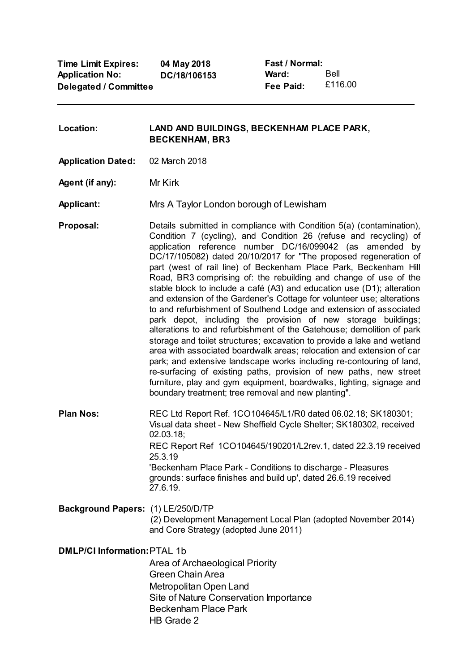**Time Limit Expires: Application No: Delegated / Committee 04 May 2018 DC/18/106153**

**Fast / Normal: Ward: Fee Paid:** Bell £116.00

**Location: LAND AND BUILDINGS, BECKENHAM PLACE PARK, BECKENHAM, BR3**

**Application Dated:** 02 March 2018

Agent (if any): Mr Kirk

**Applicant:** Mrs A Taylor London borough of Lewisham

**Proposal:** Details submitted in compliance with Condition 5(a) (contamination), Condition 7 (cycling), and Condition 26 (refuse and recycling) of application reference number DC/16/099042 (as amended by DC/17/105082) dated 20/10/2017 for "The proposed regeneration of part (west of rail line) of Beckenham Place Park, Beckenham Hill Road, BR3 comprising of: the rebuilding and change of use of the stable block to include a café (A3) and education use (D1); alteration and extension of the Gardener's Cottage for volunteer use; alterations to and refurbishment of Southend Lodge and extension of associated park depot, including the provision of new storage buildings; alterations to and refurbishment of the Gatehouse; demolition of park storage and toilet structures; excavation to provide a lake and wetland area with associated boardwalk areas; relocation and extension of car park; and extensive landscape works including re-contouring of land, re-surfacing of existing paths, provision of new paths, new street furniture, play and gym equipment, boardwalks, lighting, signage and boundary treatment; tree removal and new planting".

**Plan Nos:** REC Ltd Report Ref. 1CO104645/L1/R0 dated 06.02.18; SK180301; Visual data sheet - New Sheffield Cycle Shelter; SK180302, received 02.03.18; REC Report Ref 1CO104645/190201/L2rev.1, dated 22.3.19 received 25.3.19 'Beckenham Place Park - Conditions to discharge - Pleasures grounds: surface finishes and build up', dated 26.6.19 received 27.6.19.

**Background Papers:** (1) LE/250/D/TP (2) Development Management Local Plan (adopted November 2014) and Core Strategy (adopted June 2011)

**DMLP/CI Information:**PTAL 1b

Area of Archaeological Priority Green Chain Area Metropolitan Open Land Site of Nature Conservation Importance Beckenham Place Park HB Grade 2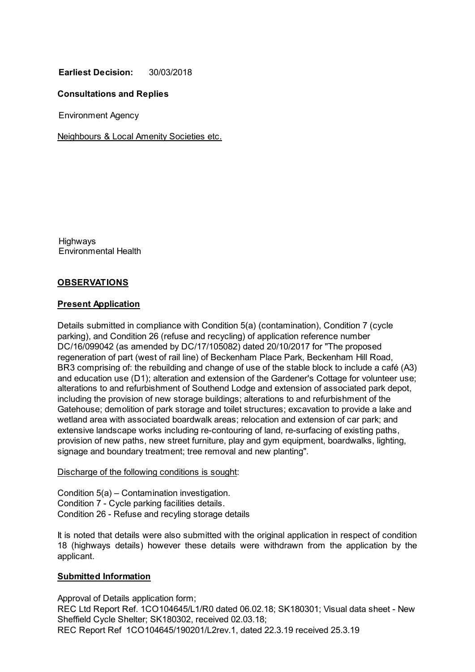# **Earliest Decision:** 30/03/2018

# **Consultations and Replies**

Environment Agency

Neighbours & Local Amenity Societies etc.

**Highways** Environmental Health

# **OBSERVATIONS**

### **Present Application**

Details submitted in compliance with Condition 5(a) (contamination), Condition 7 (cycle parking), and Condition 26 (refuse and recycling) of application reference number DC/16/099042 (as amended by DC/17/105082) dated 20/10/2017 for "The proposed regeneration of part (west of rail line) of Beckenham Place Park, Beckenham Hill Road, BR3 comprising of: the rebuilding and change of use of the stable block to include a café (A3) and education use (D1); alteration and extension of the Gardener's Cottage for volunteer use; alterations to and refurbishment of Southend Lodge and extension of associated park depot, including the provision of new storage buildings; alterations to and refurbishment of the Gatehouse; demolition of park storage and toilet structures; excavation to provide a lake and wetland area with associated boardwalk areas; relocation and extension of car park; and extensive landscape works including re-contouring of land, re-surfacing of existing paths, provision of new paths, new street furniture, play and gym equipment, boardwalks, lighting, signage and boundary treatment; tree removal and new planting".

#### Discharge of the following conditions is sought:

Condition 5(a) – Contamination investigation. Condition 7 - Cycle parking facilities details. Condition 26 - Refuse and recyling storage details

It is noted that details were also submitted with the original application in respect of condition 18 (highways details) however these details were withdrawn from the application by the applicant.

### **Submitted Information**

Approval of Details application form; REC Ltd Report Ref. 1CO104645/L1/R0 dated 06.02.18; SK180301; Visual data sheet - New Sheffield Cycle Shelter; SK180302, received 02.03.18; REC Report Ref 1CO104645/190201/L2rev.1, dated 22.3.19 received 25.3.19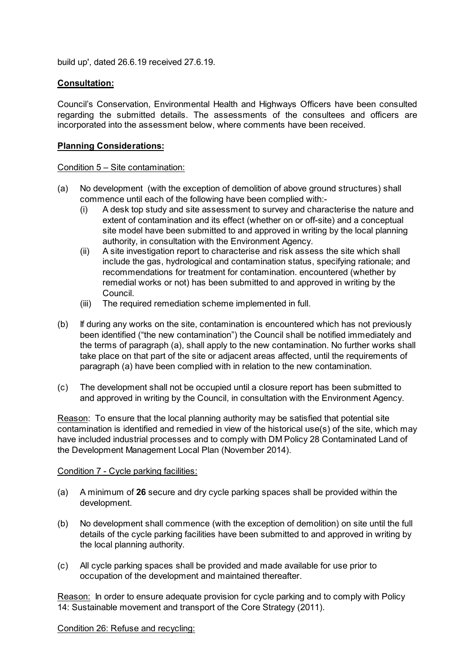build up', dated 26.6.19 received 27.6.19.

### **Consultation:**

Council's Conservation, Environmental Health and Highways Officers have been consulted regarding the submitted details. The assessments of the consultees and officers are incorporated into the assessment below, where comments have been received.

#### **Planning Considerations:**

#### Condition 5 – Site contamination:

- (a) No development (with the exception of demolition of above ground structures) shall commence until each of the following have been complied with:-
	- (i) A desk top study and site assessment to survey and characterise the nature and extent of contamination and its effect (whether on or off-site) and a conceptual site model have been submitted to and approved in writing by the local planning authority, in consultation with the Environment Agency.
	- (ii) A site investigation report to characterise and risk assess the site which shall include the gas, hydrological and contamination status, specifying rationale; and recommendations for treatment for contamination. encountered (whether by remedial works or not) has been submitted to and approved in writing by the Council.
	- (iii) The required remediation scheme implemented in full.
- (b) If during any works on the site, contamination is encountered which has not previously been identified ("the new contamination") the Council shall be notified immediately and the terms of paragraph (a), shall apply to the new contamination. No further works shall take place on that part of the site or adjacent areas affected, until the requirements of paragraph (a) have been complied with in relation to the new contamination.
- (c) The development shall not be occupied until a closure report has been submitted to and approved in writing by the Council, in consultation with the Environment Agency.

Reason: To ensure that the local planning authority may be satisfied that potential site contamination is identified and remedied in view of the historical use(s) of the site, which may have included industrial processes and to comply with DM Policy 28 Contaminated Land of the Development Management Local Plan (November 2014).

#### Condition 7 - Cycle parking facilities:

- (a) A minimum of **26** secure and dry cycle parking spaces shall be provided within the development.
- (b) No development shall commence (with the exception of demolition) on site until the full details of the cycle parking facilities have been submitted to and approved in writing by the local planning authority.
- (c) All cycle parking spaces shall be provided and made available for use prior to occupation of the development and maintained thereafter.

Reason: In order to ensure adequate provision for cycle parking and to comply with Policy 14: Sustainable movement and transport of the Core Strategy (2011).

Condition 26: Refuse and recycling: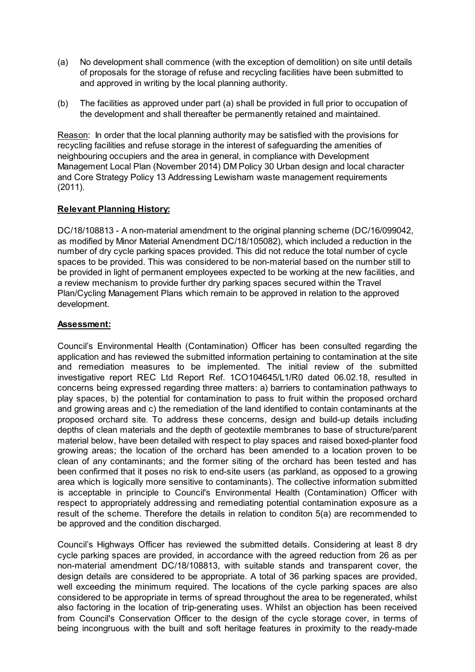- (a) No development shall commence (with the exception of demolition) on site until details of proposals for the storage of refuse and recycling facilities have been submitted to and approved in writing by the local planning authority.
- (b) The facilities as approved under part (a) shall be provided in full prior to occupation of the development and shall thereafter be permanently retained and maintained.

Reason: In order that the local planning authority may be satisfied with the provisions for recycling facilities and refuse storage in the interest of safeguarding the amenities of neighbouring occupiers and the area in general, in compliance with Development Management Local Plan (November 2014) DM Policy 30 Urban design and local character and Core Strategy Policy 13 Addressing Lewisham waste management requirements (2011).

# **Relevant Planning History:**

DC/18/108813 - A non-material amendment to the original planning scheme (DC/16/099042, as modified by Minor Material Amendment DC/18/105082), which included a reduction in the number of dry cycle parking spaces provided. This did not reduce the total number of cycle spaces to be provided. This was considered to be non-material based on the number still to be provided in light of permanent employees expected to be working at the new facilities, and a review mechanism to provide further dry parking spaces secured within the Travel Plan/Cycling Management Plans which remain to be approved in relation to the approved development.

### **Assessment:**

Council's Environmental Health (Contamination) Officer has been consulted regarding the application and has reviewed the submitted information pertaining to contamination at the site and remediation measures to be implemented. The initial review of the submitted investigative report REC Ltd Report Ref. 1CO104645/L1/R0 dated 06.02.18, resulted in concerns being expressed regarding three matters: a) barriers to contamination pathways to play spaces, b) the potential for contamination to pass to fruit within the proposed orchard and growing areas and c) the remediation of the land identified to contain contaminants at the proposed orchard site. To address these concerns, design and build-up details including depths of clean materials and the depth of geotextile membranes to base of structure/parent material below, have been detailed with respect to play spaces and raised boxed-planter food growing areas; the location of the orchard has been amended to a location proven to be clean of any contaminants; and the former siting of the orchard has been tested and has been confirmed that it poses no risk to end-site users (as parkland, as opposed to a growing area which is logically more sensitive to contaminants). The collective information submitted is acceptable in principle to Council's Environmental Health (Contamination) Officer with respect to appropriately addressing and remediating potential contamination exposure as a result of the scheme. Therefore the details in relation to conditon 5(a) are recommended to be approved and the condition discharged.

Council's Highways Officer has reviewed the submitted details. Considering at least 8 dry cycle parking spaces are provided, in accordance with the agreed reduction from 26 as per non-material amendment DC/18/108813, with suitable stands and transparent cover, the design details are considered to be appropriate. A total of 36 parking spaces are provided, well exceeding the minimum required. The locations of the cycle parking spaces are also considered to be appropriate in terms of spread throughout the area to be regenerated, whilst also factoring in the location of trip-generating uses. Whilst an objection has been received from Council's Conservation Officer to the design of the cycle storage cover, in terms of being incongruous with the built and soft heritage features in proximity to the ready-made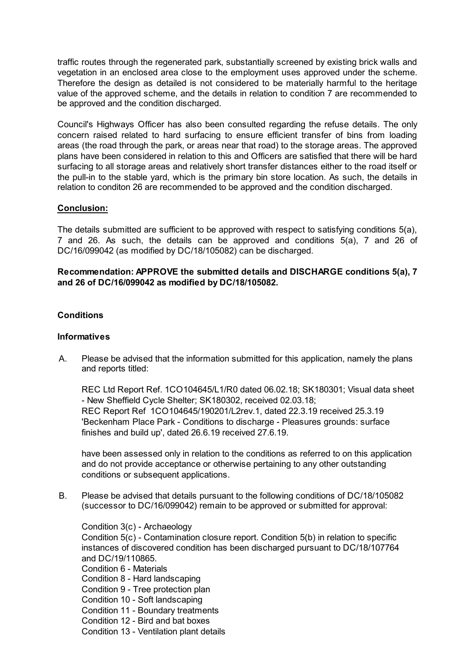traffic routes through the regenerated park, substantially screened by existing brick walls and vegetation in an enclosed area close to the employment uses approved under the scheme. Therefore the design as detailed is not considered to be materially harmful to the heritage value of the approved scheme, and the details in relation to condition 7 are recommended to be approved and the condition discharged.

Council's Highways Officer has also been consulted regarding the refuse details. The only concern raised related to hard surfacing to ensure efficient transfer of bins from loading areas (the road through the park, or areas near that road) to the storage areas. The approved plans have been considered in relation to this and Officers are satisfied that there will be hard surfacing to all storage areas and relatively short transfer distances either to the road itself or the pull-in to the stable yard, which is the primary bin store location. As such, the details in relation to conditon 26 are recommended to be approved and the condition discharged.

### **Conclusion:**

The details submitted are sufficient to be approved with respect to satisfying conditions 5(a), 7 and 26. As such, the details can be approved and conditions 5(a), 7 and 26 of DC/16/099042 (as modified by DC/18/105082) can be discharged.

### **Recommendation: APPROVE the submitted details and DISCHARGE conditions 5(a), 7 and 26 of DC/16/099042 as modified by DC/18/105082.**

# **Conditions**

# **Informatives**

A. Please be advised that the information submitted for this application, namely the plans and reports titled:

REC Ltd Report Ref. 1CO104645/L1/R0 dated 06.02.18; SK180301; Visual data sheet - New Sheffield Cycle Shelter; SK180302, received 02.03.18; REC Report Ref 1CO104645/190201/L2rev.1, dated 22.3.19 received 25.3.19 'Beckenham Place Park - Conditions to discharge - Pleasures grounds: surface finishes and build up', dated 26.6.19 received 27.6.19.

have been assessed only in relation to the conditions as referred to on this application and do not provide acceptance or otherwise pertaining to any other outstanding conditions or subsequent applications.

B. Please be advised that details pursuant to the following conditions of DC/18/105082 (successor to DC/16/099042) remain to be approved or submitted for approval:

### Condition 3(c) - Archaeology

Condition 5(c) - Contamination closure report. Condition 5(b) in relation to specific instances of discovered condition has been discharged pursuant to DC/18/107764 and DC/19/110865.

Condition 6 - Materials

Condition 8 - Hard landscaping

Condition 9 - Tree protection plan

Condition 10 - Soft landscaping

Condition 11 - Boundary treatments

- Condition 12 Bird and bat boxes
- Condition 13 Ventilation plant details